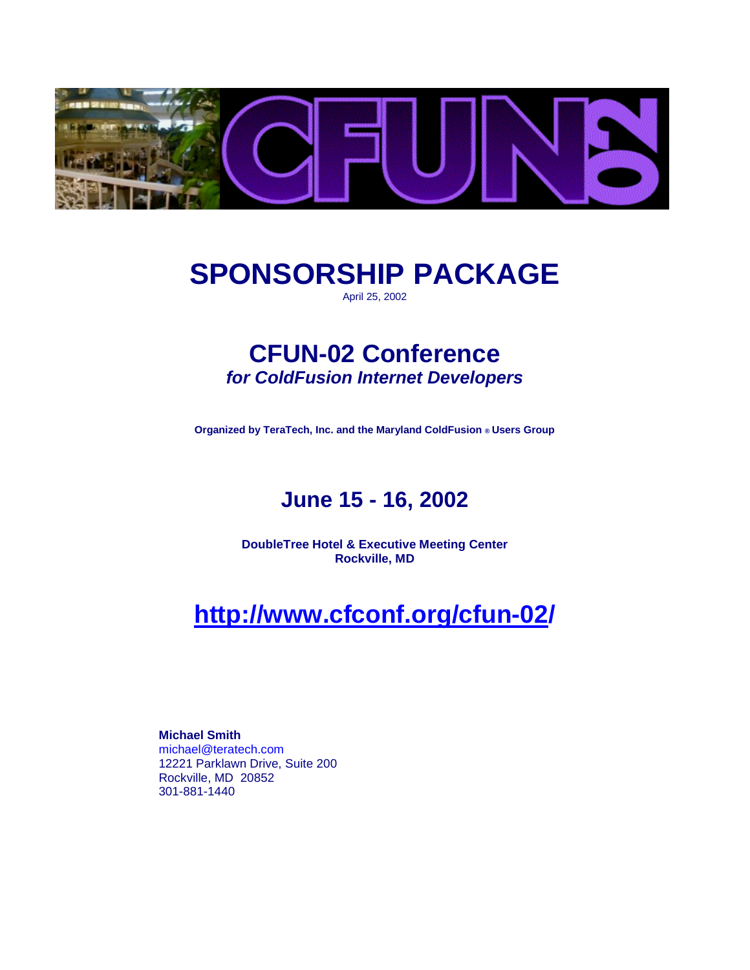

# **SPONSORSHIP PACKAGE**

April 25, 2002

# **CFUN-02 Conference**  *for ColdFusion Internet Developers*

**Organized by TeraTech, Inc. and the Maryland ColdFusion ® Users Group** 

# **June 15 - 16, 2002**

**DoubleTree Hotel & Executive Meeting Center Rockville, MD** 

# **http://www.cfconf.org/cfun-02/**

**Michael Smith**  michael@teratech.com 12221 Parklawn Drive, Suite 200 Rockville, MD 20852 301-881-1440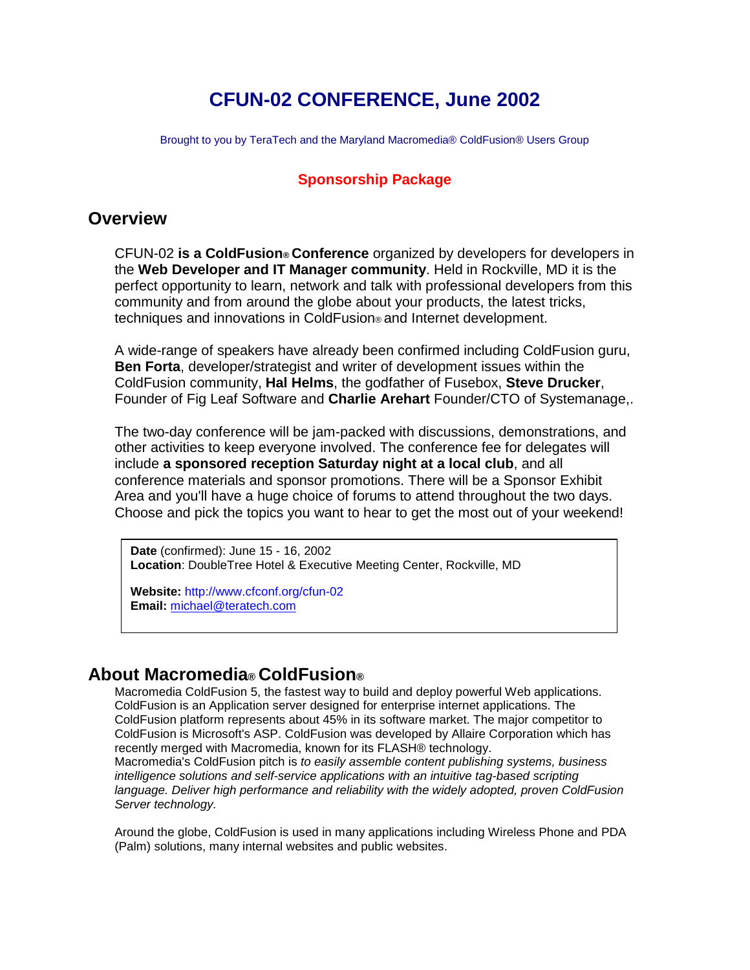# **CFUN-02 CONFERENCE, June 2002**

Brought to you by TeraTech and the Maryland Macromedia® ColdFusion® Users Group

#### **Sponsorship Package**

#### **Overview**

CFUN-02 **is a ColdFusion® Conference** organized by developers for developers in the **Web Developer and IT Manager community**. Held in Rockville, MD it is the perfect opportunity to learn, network and talk with professional developers from this community and from around the globe about your products, the latest tricks, techniques and innovations in ColdFusion® and Internet development.

A wide-range of speakers have already been confirmed including ColdFusion guru, **Ben Forta**, developer/strategist and writer of development issues within the ColdFusion community, **Hal Helms**, the godfather of Fusebox, **Steve Drucker**, Founder of Fig Leaf Software and **Charlie Arehart** Founder/CTO of Systemanage,.

The two-day conference will be jam-packed with discussions, demonstrations, and other activities to keep everyone involved. The conference fee for delegates will include **a sponsored reception Saturday night at a local club**, and all conference materials and sponsor promotions. There will be a Sponsor Exhibit Area and you'll have a huge choice of forums to attend throughout the two days. Choose and pick the topics you want to hear to get the most out of your weekend!

**Date** (confirmed): June 15 - 16, 2002 **Location**: DoubleTree Hotel & Executive Meeting Center, Rockville, MD

**Website:** http://www.cfconf.org/cfun-02 **Email:** michael@teratech.com

### **About Macromedia® ColdFusion®**

Macromedia ColdFusion 5, the fastest way to build and deploy powerful Web applications. ColdFusion is an Application server designed for enterprise internet applications. The ColdFusion platform represents about 45% in its software market. The major competitor to ColdFusion is Microsoft's ASP. ColdFusion was developed by Allaire Corporation which has recently merged with Macromedia, known for its FLASH® technology. Macromedia's ColdFusion pitch is *to easily assemble content publishing systems, business intelligence solutions and self-service applications with an intuitive tag-based scripting* 

*language. Deliver high performance and reliability with the widely adopted, proven ColdFusion Server technology.* 

Around the globe, ColdFusion is used in many applications including Wireless Phone and PDA (Palm) solutions, many internal websites and public websites.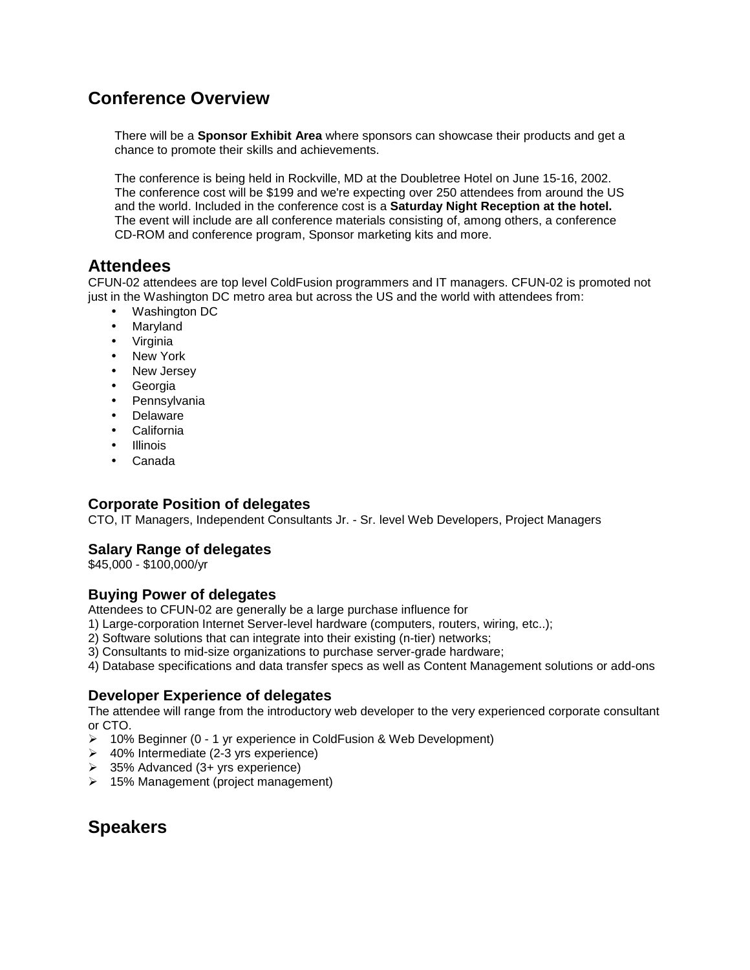## **Conference Overview**

There will be a **Sponsor Exhibit Area** where sponsors can showcase their products and get a chance to promote their skills and achievements.

The conference is being held in Rockville, MD at the Doubletree Hotel on June 15-16, 2002. The conference cost will be \$199 and we're expecting over 250 attendees from around the US and the world. Included in the conference cost is a **Saturday Night Reception at the hotel.** The event will include are all conference materials consisting of, among others, a conference CD-ROM and conference program, Sponsor marketing kits and more.

#### **Attendees**

CFUN-02 attendees are top level ColdFusion programmers and IT managers. CFUN-02 is promoted not just in the Washington DC metro area but across the US and the world with attendees from:

- Washington DC
- Maryland
- Virginia
- New York
- New Jersey
- Georgia
- Pennsylvania
- Delaware
- California
- Illinois
- Canada

#### **Corporate Position of delegates**

CTO, IT Managers, Independent Consultants Jr. - Sr. level Web Developers, Project Managers

#### **Salary Range of delegates**

\$45,000 - \$100,000/yr

#### **Buying Power of delegates**

Attendees to CFUN-02 are generally be a large purchase influence for

1) Large-corporation Internet Server-level hardware (computers, routers, wiring, etc..);

- 2) Software solutions that can integrate into their existing (n-tier) networks;
- 3) Consultants to mid-size organizations to purchase server-grade hardware;

4) Database specifications and data transfer specs as well as Content Management solutions or add-ons

#### **Developer Experience of delegates**

The attendee will range from the introductory web developer to the very experienced corporate consultant or CTO.

- > 10% Beginner (0 1 yr experience in ColdFusion & Web Development)
- -40% Intermediate (2-3 yrs experience)
- **→** 35% Advanced (3+ yrs experience)
- > 15% Management (project management)

# **Speakers**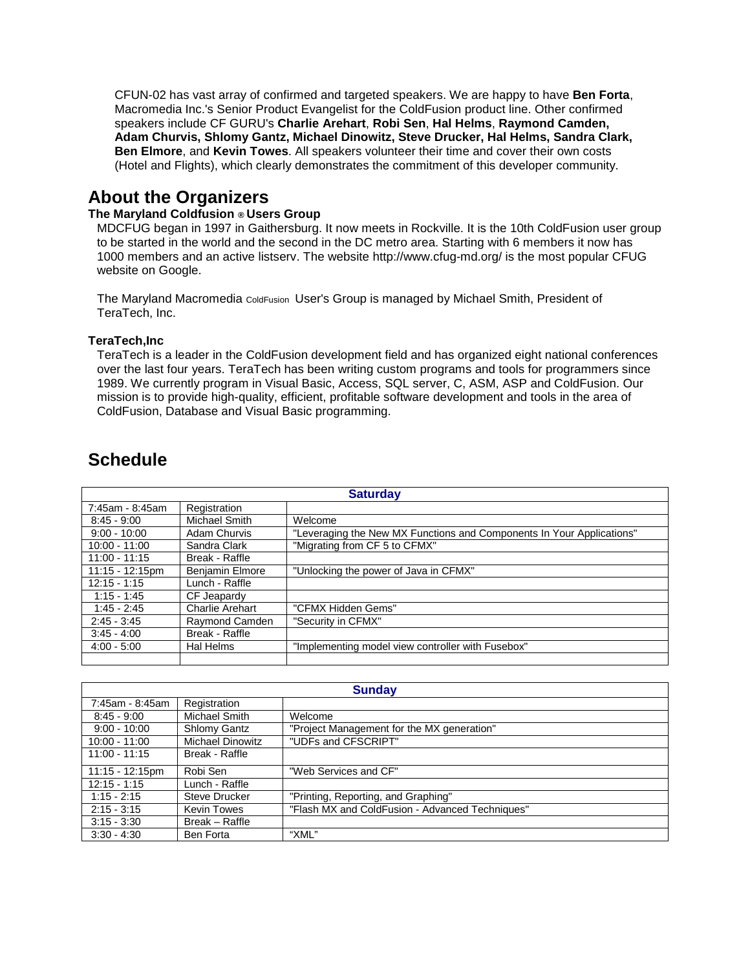CFUN-02 has vast array of confirmed and targeted speakers. We are happy to have **Ben Forta**, Macromedia Inc.'s Senior Product Evangelist for the ColdFusion product line. Other confirmed speakers include CF GURU's **Charlie Arehart**, **Robi Sen**, **Hal Helms**, **Raymond Camden, Adam Churvis, Shlomy Gantz, Michael Dinowitz, Steve Drucker, Hal Helms, Sandra Clark, Ben Elmore**, and **Kevin Towes**. All speakers volunteer their time and cover their own costs (Hotel and Flights), which clearly demonstrates the commitment of this developer community.

### **About the Organizers**

#### **The Maryland Coldfusion ® Users Group**

MDCFUG began in 1997 in Gaithersburg. It now meets in Rockville. It is the 10th ColdFusion user group to be started in the world and the second in the DC metro area. Starting with 6 members it now has 1000 members and an active listserv. The website http://www.cfug-md.org/ is the most popular CFUG website on Google.

The Maryland Macromedia ColdFusion User's Group is managed by Michael Smith, President of TeraTech, Inc.

#### **TeraTech,Inc**

TeraTech is a leader in the ColdFusion development field and has organized eight national conferences over the last four years. TeraTech has been writing custom programs and tools for programmers since 1989. We currently program in Visual Basic, Access, SQL server, C, ASM, ASP and ColdFusion. Our mission is to provide high-quality, efficient, profitable software development and tools in the area of ColdFusion, Database and Visual Basic programming.

| <b>Saturday</b>    |                        |                                                                       |  |  |  |
|--------------------|------------------------|-----------------------------------------------------------------------|--|--|--|
| 7:45am - 8:45am    | Registration           |                                                                       |  |  |  |
| $8:45 - 9:00$      | Michael Smith          | Welcome                                                               |  |  |  |
| $9:00 - 10:00$     | Adam Churvis           | "Leveraging the New MX Functions and Components In Your Applications" |  |  |  |
| $10:00 - 11:00$    | Sandra Clark           | "Migrating from CF 5 to CFMX"                                         |  |  |  |
| $11:00 - 11:15$    | Break - Raffle         |                                                                       |  |  |  |
| $11:15 - 12:15$ pm | <b>Benjamin Elmore</b> | "Unlocking the power of Java in CFMX"                                 |  |  |  |
| $12:15 - 1:15$     | Lunch - Raffle         |                                                                       |  |  |  |
| $1:15 - 1:45$      | CF Jeapardy            |                                                                       |  |  |  |
| $1:45 - 2:45$      | Charlie Arehart        | "CFMX Hidden Gems"                                                    |  |  |  |
| $2:45 - 3:45$      | Raymond Camden         | "Security in CFMX"                                                    |  |  |  |
| $3:45 - 4:00$      | Break - Raffle         |                                                                       |  |  |  |
| $4:00 - 5:00$      | Hal Helms              | "Implementing model view controller with Fusebox"                     |  |  |  |
|                    |                        |                                                                       |  |  |  |

### **Schedule**

| <b>Sunday</b>   |                         |                                                 |  |  |  |  |
|-----------------|-------------------------|-------------------------------------------------|--|--|--|--|
| 7:45am - 8:45am | Registration            |                                                 |  |  |  |  |
| $8:45 - 9:00$   | Michael Smith           | Welcome                                         |  |  |  |  |
| $9:00 - 10:00$  | Shlomy Gantz            | "Project Management for the MX generation"      |  |  |  |  |
| $10:00 - 11:00$ | <b>Michael Dinowitz</b> | "UDFs and CFSCRIPT"                             |  |  |  |  |
| $11:00 - 11:15$ | Break - Raffle          |                                                 |  |  |  |  |
| 11:15 - 12:15pm | Robi Sen                | "Web Services and CF"                           |  |  |  |  |
| $12:15 - 1:15$  | Lunch - Raffle          |                                                 |  |  |  |  |
| $1:15 - 2:15$   | Steve Drucker           | "Printing, Reporting, and Graphing"             |  |  |  |  |
| $2:15 - 3:15$   | <b>Kevin Towes</b>      | "Flash MX and ColdFusion - Advanced Techniques" |  |  |  |  |
| $3:15 - 3:30$   | Break - Raffle          |                                                 |  |  |  |  |
| $3:30 - 4:30$   | Ben Forta               | "XML"                                           |  |  |  |  |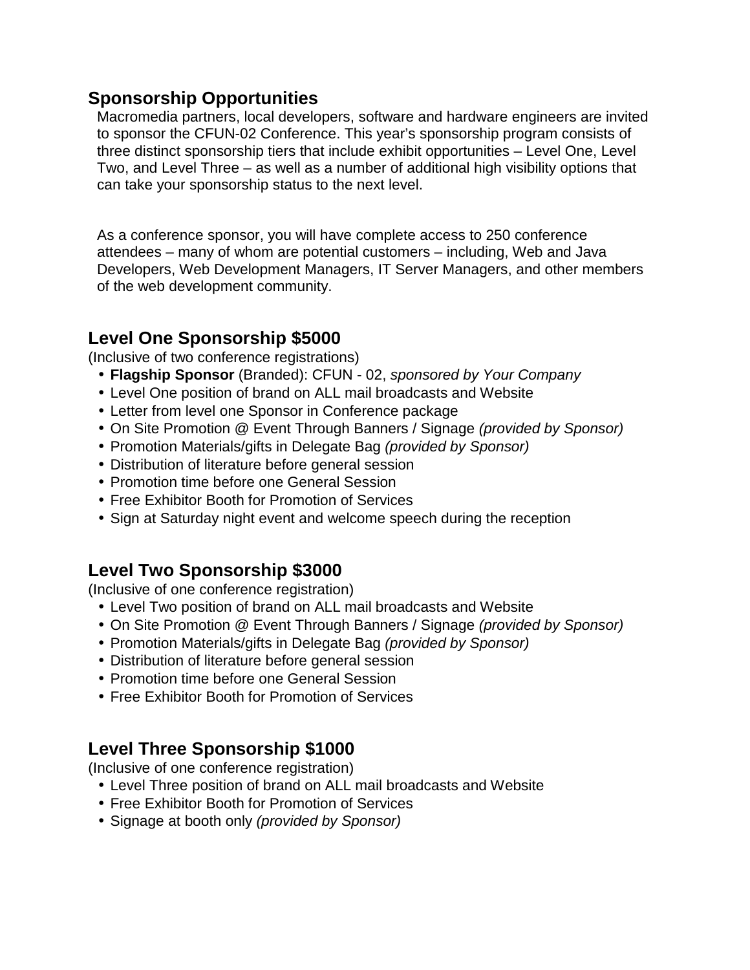### **Sponsorship Opportunities**

Macromedia partners, local developers, software and hardware engineers are invited to sponsor the CFUN-02 Conference. This year's sponsorship program consists of three distinct sponsorship tiers that include exhibit opportunities – Level One, Level Two, and Level Three – as well as a number of additional high visibility options that can take your sponsorship status to the next level.

As a conference sponsor, you will have complete access to 250 conference attendees – many of whom are potential customers – including, Web and Java Developers, Web Development Managers, IT Server Managers, and other members of the web development community.

## **Level One Sponsorship \$5000**

(Inclusive of two conference registrations)

- **Flagship Sponsor** (Branded): CFUN 02, *sponsored by Your Company*
- Level One position of brand on ALL mail broadcasts and Website
- Letter from level one Sponsor in Conference package
- On Site Promotion @ Event Through Banners / Signage *(provided by Sponsor)*
- Promotion Materials/gifts in Delegate Bag *(provided by Sponsor)*
- Distribution of literature before general session
- Promotion time before one General Session
- Free Exhibitor Booth for Promotion of Services
- Sign at Saturday night event and welcome speech during the reception

# **Level Two Sponsorship \$3000**

(Inclusive of one conference registration)

- Level Two position of brand on ALL mail broadcasts and Website
- On Site Promotion @ Event Through Banners / Signage *(provided by Sponsor)*
- Promotion Materials/gifts in Delegate Bag *(provided by Sponsor)*
- Distribution of literature before general session
- Promotion time before one General Session
- Free Exhibitor Booth for Promotion of Services

# **Level Three Sponsorship \$1000**

(Inclusive of one conference registration)

- Level Three position of brand on ALL mail broadcasts and Website
- Free Exhibitor Booth for Promotion of Services
- Signage at booth only *(provided by Sponsor)*